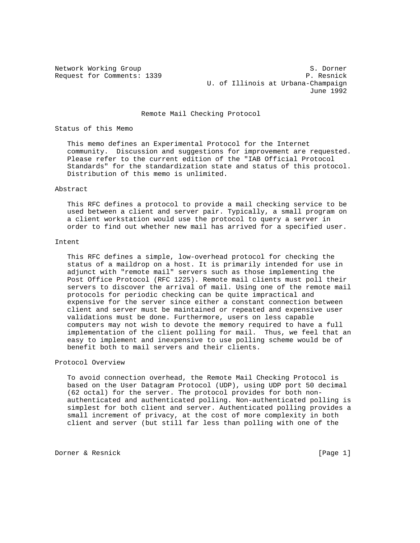Network Working Group S. Dorner Request for Comments: 1339 P. Resnick U. of Illinois at Urbana-Champaign June 1992

Remote Mail Checking Protocol

Status of this Memo

 This memo defines an Experimental Protocol for the Internet community. Discussion and suggestions for improvement are requested. Please refer to the current edition of the "IAB Official Protocol Standards" for the standardization state and status of this protocol. Distribution of this memo is unlimited.

### Abstract

 This RFC defines a protocol to provide a mail checking service to be used between a client and server pair. Typically, a small program on a client workstation would use the protocol to query a server in order to find out whether new mail has arrived for a specified user.

#### Intent

 This RFC defines a simple, low-overhead protocol for checking the status of a maildrop on a host. It is primarily intended for use in adjunct with "remote mail" servers such as those implementing the Post Office Protocol (RFC 1225). Remote mail clients must poll their servers to discover the arrival of mail. Using one of the remote mail protocols for periodic checking can be quite impractical and expensive for the server since either a constant connection between client and server must be maintained or repeated and expensive user validations must be done. Furthermore, users on less capable computers may not wish to devote the memory required to have a full implementation of the client polling for mail. Thus, we feel that an easy to implement and inexpensive to use polling scheme would be of benefit both to mail servers and their clients.

### Protocol Overview

 To avoid connection overhead, the Remote Mail Checking Protocol is based on the User Datagram Protocol (UDP), using UDP port 50 decimal (62 octal) for the server. The protocol provides for both non authenticated and authenticated polling. Non-authenticated polling is simplest for both client and server. Authenticated polling provides a small increment of privacy, at the cost of more complexity in both client and server (but still far less than polling with one of the

Dorner & Resnick [Page 1]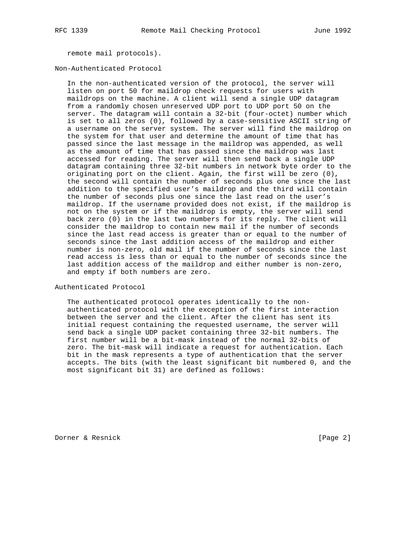remote mail protocols).

Non-Authenticated Protocol

 In the non-authenticated version of the protocol, the server will listen on port 50 for maildrop check requests for users with maildrops on the machine. A client will send a single UDP datagram from a randomly chosen unreserved UDP port to UDP port 50 on the server. The datagram will contain a 32-bit (four-octet) number which is set to all zeros (0), followed by a case-sensitive ASCII string of a username on the server system. The server will find the maildrop on the system for that user and determine the amount of time that has passed since the last message in the maildrop was appended, as well as the amount of time that has passed since the maildrop was last accessed for reading. The server will then send back a single UDP datagram containing three 32-bit numbers in network byte order to the originating port on the client. Again, the first will be zero (0), the second will contain the number of seconds plus one since the last addition to the specified user's maildrop and the third will contain the number of seconds plus one since the last read on the user's maildrop. If the username provided does not exist, if the maildrop is not on the system or if the maildrop is empty, the server will send back zero (0) in the last two numbers for its reply. The client will consider the maildrop to contain new mail if the number of seconds since the last read access is greater than or equal to the number of seconds since the last addition access of the maildrop and either number is non-zero, old mail if the number of seconds since the last read access is less than or equal to the number of seconds since the last addition access of the maildrop and either number is non-zero, and empty if both numbers are zero.

Authenticated Protocol

 The authenticated protocol operates identically to the non authenticated protocol with the exception of the first interaction between the server and the client. After the client has sent its initial request containing the requested username, the server will send back a single UDP packet containing three 32-bit numbers. The first number will be a bit-mask instead of the normal 32-bits of zero. The bit-mask will indicate a request for authentication. Each bit in the mask represents a type of authentication that the server accepts. The bits (with the least significant bit numbered 0, and the most significant bit 31) are defined as follows:

Dorner & Resnick [Page 2]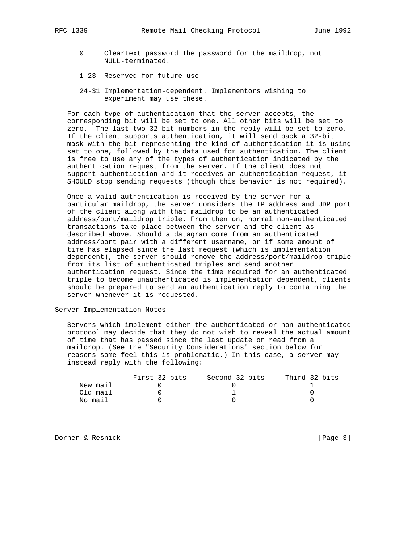- 0 Cleartext password The password for the maildrop, not NULL-terminated.
- 1-23 Reserved for future use
- 24-31 Implementation-dependent. Implementors wishing to experiment may use these.

 For each type of authentication that the server accepts, the corresponding bit will be set to one. All other bits will be set to zero. The last two 32-bit numbers in the reply will be set to zero. If the client supports authentication, it will send back a 32-bit mask with the bit representing the kind of authentication it is using set to one, followed by the data used for authentication. The client is free to use any of the types of authentication indicated by the authentication request from the server. If the client does not support authentication and it receives an authentication request, it SHOULD stop sending requests (though this behavior is not required).

 Once a valid authentication is received by the server for a particular maildrop, the server considers the IP address and UDP port of the client along with that maildrop to be an authenticated address/port/maildrop triple. From then on, normal non-authenticated transactions take place between the server and the client as described above. Should a datagram come from an authenticated address/port pair with a different username, or if some amount of time has elapsed since the last request (which is implementation dependent), the server should remove the address/port/maildrop triple from its list of authenticated triples and send another authentication request. Since the time required for an authenticated triple to become unauthenticated is implementation dependent, clients should be prepared to send an authentication reply to containing the server whenever it is requested.

Server Implementation Notes

 Servers which implement either the authenticated or non-authenticated protocol may decide that they do not wish to reveal the actual amount of time that has passed since the last update or read from a maildrop. (See the "Security Considerations" section below for reasons some feel this is problematic.) In this case, a server may instead reply with the following:

|          | First 32 bits | Second 32 bits | Third 32 bits |
|----------|---------------|----------------|---------------|
| New mail |               |                |               |
| Old mail |               |                |               |
| No mail  |               |                |               |

Dorner & Resnick [Page 3]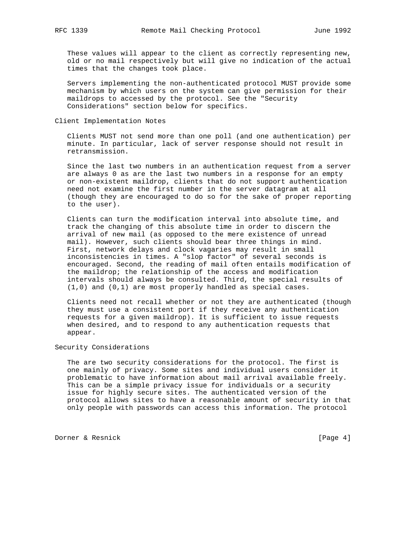These values will appear to the client as correctly representing new, old or no mail respectively but will give no indication of the actual times that the changes took place.

 Servers implementing the non-authenticated protocol MUST provide some mechanism by which users on the system can give permission for their maildrops to accessed by the protocol. See the "Security Considerations" section below for specifics.

## Client Implementation Notes

 Clients MUST not send more than one poll (and one authentication) per minute. In particular, lack of server response should not result in retransmission.

 Since the last two numbers in an authentication request from a server are always 0 as are the last two numbers in a response for an empty or non-existent maildrop, clients that do not support authentication need not examine the first number in the server datagram at all (though they are encouraged to do so for the sake of proper reporting to the user).

 Clients can turn the modification interval into absolute time, and track the changing of this absolute time in order to discern the arrival of new mail (as opposed to the mere existence of unread mail). However, such clients should bear three things in mind. First, network delays and clock vagaries may result in small inconsistencies in times. A "slop factor" of several seconds is encouraged. Second, the reading of mail often entails modification of the maildrop; the relationship of the access and modification intervals should always be consulted. Third, the special results of (1,0) and (0,1) are most properly handled as special cases.

 Clients need not recall whether or not they are authenticated (though they must use a consistent port if they receive any authentication requests for a given maildrop). It is sufficient to issue requests when desired, and to respond to any authentication requests that appear.

# Security Considerations

 The are two security considerations for the protocol. The first is one mainly of privacy. Some sites and individual users consider it problematic to have information about mail arrival available freely. This can be a simple privacy issue for individuals or a security issue for highly secure sites. The authenticated version of the protocol allows sites to have a reasonable amount of security in that only people with passwords can access this information. The protocol

Dorner & Resnick [Page 4]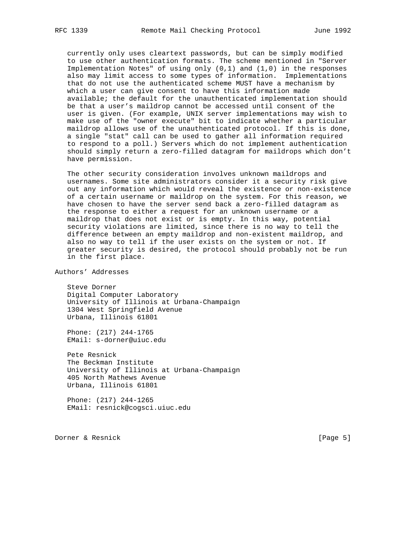currently only uses cleartext passwords, but can be simply modified to use other authentication formats. The scheme mentioned in "Server Implementation Notes" of using only (0,1) and (1,0) in the responses also may limit access to some types of information. Implementations that do not use the authenticated scheme MUST have a mechanism by which a user can give consent to have this information made available; the default for the unauthenticated implementation should be that a user's maildrop cannot be accessed until consent of the user is given. (For example, UNIX server implementations may wish to make use of the "owner execute" bit to indicate whether a particular maildrop allows use of the unauthenticated protocol. If this is done, a single "stat" call can be used to gather all information required to respond to a poll.) Servers which do not implement authentication should simply return a zero-filled datagram for maildrops which don't have permission.

 The other security consideration involves unknown maildrops and usernames. Some site administrators consider it a security risk give out any information which would reveal the existence or non-existence of a certain username or maildrop on the system. For this reason, we have chosen to have the server send back a zero-filled datagram as the response to either a request for an unknown username or a maildrop that does not exist or is empty. In this way, potential security violations are limited, since there is no way to tell the difference between an empty maildrop and non-existent maildrop, and also no way to tell if the user exists on the system or not. If greater security is desired, the protocol should probably not be run in the first place.

Authors' Addresses

 Steve Dorner Digital Computer Laboratory University of Illinois at Urbana-Champaign 1304 West Springfield Avenue Urbana, Illinois 61801

 Phone: (217) 244-1765 EMail: s-dorner@uiuc.edu

 Pete Resnick The Beckman Institute University of Illinois at Urbana-Champaign 405 North Mathews Avenue Urbana, Illinois 61801

 Phone: (217) 244-1265 EMail: resnick@cogsci.uiuc.edu

Dorner & Resnick [Page 5]